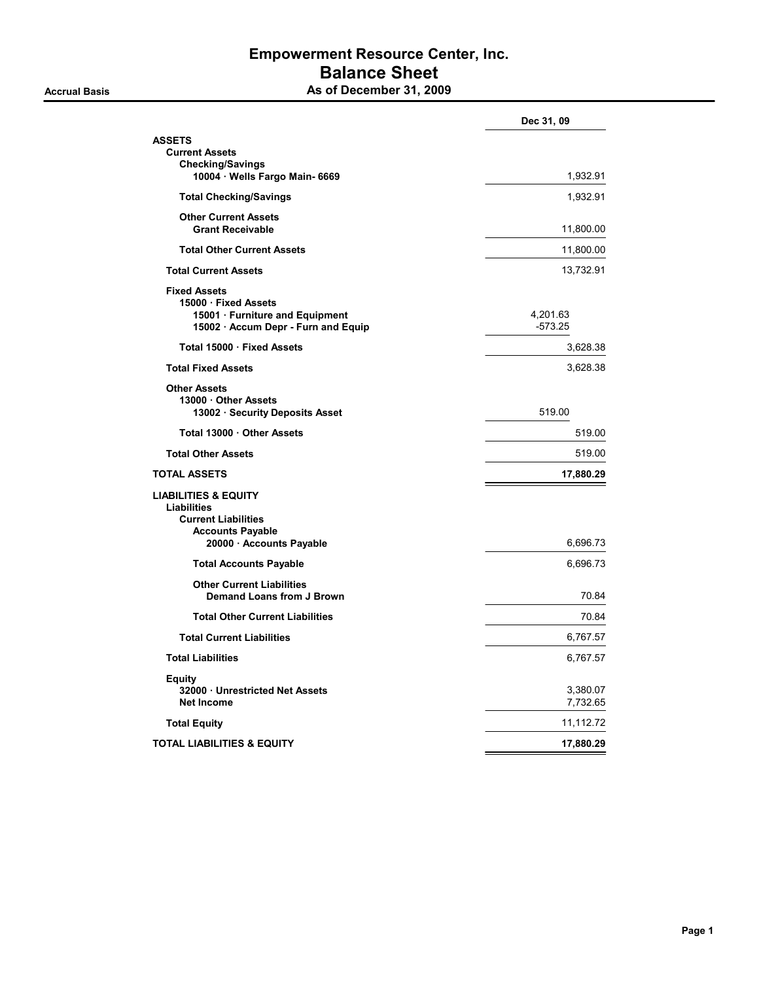### Empowerment Resource Center, Inc. Balance Sheet As of December 31, 2009

|                                                                                                                                            | Dec 31, 09            |
|--------------------------------------------------------------------------------------------------------------------------------------------|-----------------------|
| ASSETS                                                                                                                                     |                       |
| <b>Current Assets</b>                                                                                                                      |                       |
| <b>Checking/Savings</b><br>10004 · Wells Fargo Main- 6669                                                                                  | 1,932.91              |
| <b>Total Checking/Savings</b>                                                                                                              | 1,932.91              |
| <b>Other Current Assets</b><br><b>Grant Receivable</b>                                                                                     | 11,800.00             |
| <b>Total Other Current Assets</b>                                                                                                          | 11,800.00             |
| <b>Total Current Assets</b>                                                                                                                | 13,732.91             |
| <b>Fixed Assets</b><br>15000 · Fixed Assets<br>15001 · Furniture and Equipment<br>15002 · Accum Depr - Furn and Equip                      | 4,201.63<br>$-573.25$ |
| Total 15000 · Fixed Assets                                                                                                                 | 3,628.38              |
| <b>Total Fixed Assets</b>                                                                                                                  | 3,628.38              |
| <b>Other Assets</b><br>13000 Other Assets<br>13002 · Security Deposits Asset                                                               | 519.00                |
| Total 13000 Other Assets                                                                                                                   | 519.00                |
| <b>Total Other Assets</b>                                                                                                                  | 519.00                |
| TOTAL ASSETS                                                                                                                               | 17,880.29             |
| <b>LIABILITIES &amp; EQUITY</b><br><b>Liabilities</b><br><b>Current Liabilities</b><br><b>Accounts Payable</b><br>20000 · Accounts Payable | 6,696.73              |
| <b>Total Accounts Payable</b>                                                                                                              | 6,696.73              |
| <b>Other Current Liabilities</b><br><b>Demand Loans from J Brown</b>                                                                       | 70.84                 |
| <b>Total Other Current Liabilities</b>                                                                                                     | 70.84                 |
| <b>Total Current Liabilities</b>                                                                                                           | 6,767.57              |
| <b>Total Liabilities</b>                                                                                                                   | 6,767.57              |
| <b>Equity</b><br>32000 Unrestricted Net Assets<br><b>Net Income</b>                                                                        | 3,380.07<br>7,732.65  |
| <b>Total Equity</b>                                                                                                                        | 11,112.72             |
| TOTAL LIABILITIES & EQUITY                                                                                                                 | 17,880.29             |
|                                                                                                                                            |                       |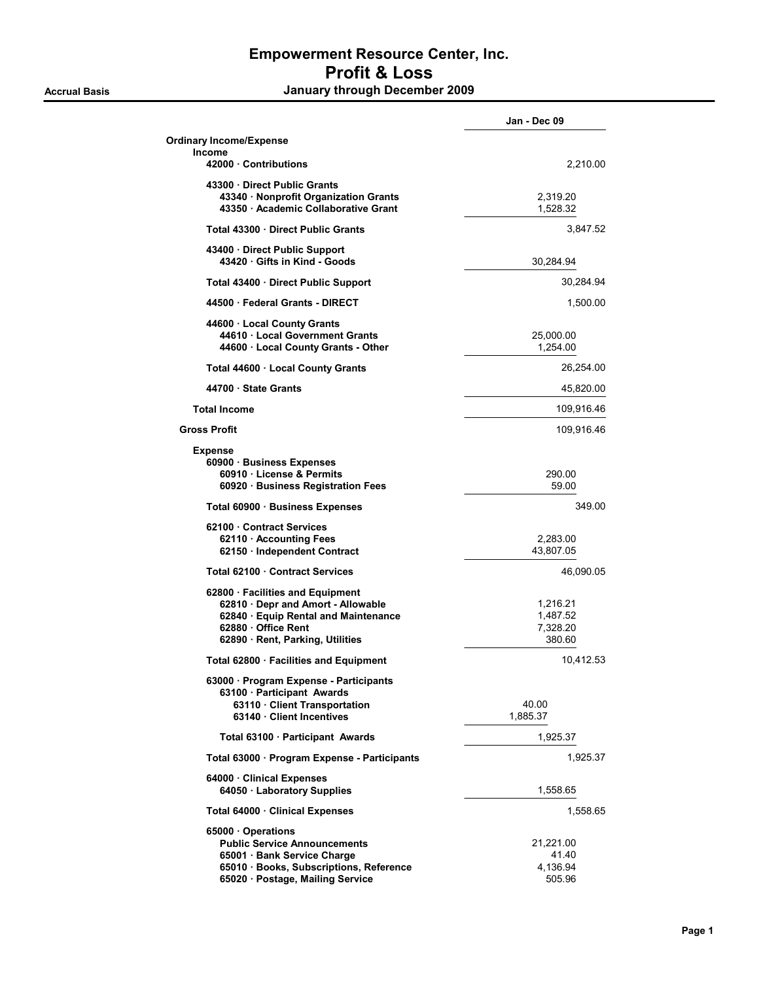## Empowerment Resource Center, Inc. Profit & Loss Accrual Basis **Accrual Basis January through December 2009**

|                                                                                                                                                                         | Jan - Dec 09                               |
|-------------------------------------------------------------------------------------------------------------------------------------------------------------------------|--------------------------------------------|
| <b>Ordinary Income/Expense</b><br>Income                                                                                                                                |                                            |
| 42000 Contributions                                                                                                                                                     | 2,210.00                                   |
| 43300 Direct Public Grants<br>43340 · Nonprofit Organization Grants<br>43350 · Academic Collaborative Grant                                                             | 2,319.20<br>1,528.32                       |
| Total 43300 Direct Public Grants                                                                                                                                        | 3,847.52                                   |
| 43400 Direct Public Support<br>43420 Gifts in Kind - Goods                                                                                                              | 30,284.94                                  |
| Total 43400 Direct Public Support                                                                                                                                       | 30,284.94                                  |
| 44500 Federal Grants - DIRECT                                                                                                                                           | 1,500.00                                   |
| 44600 · Local County Grants<br>44610 Local Government Grants<br>44600 · Local County Grants - Other                                                                     | 25,000.00<br>1,254.00                      |
| Total 44600 · Local County Grants                                                                                                                                       | 26,254.00                                  |
| 44700 · State Grants                                                                                                                                                    | 45,820.00                                  |
| <b>Total Income</b>                                                                                                                                                     | 109,916.46                                 |
| <b>Gross Profit</b>                                                                                                                                                     | 109,916.46                                 |
| <b>Expense</b><br>60900 · Business Expenses<br>60910 License & Permits<br>60920 Business Registration Fees                                                              | 290.00<br>59.00                            |
| Total 60900 · Business Expenses                                                                                                                                         | 349.00                                     |
| 62100 Contract Services<br>62110 Accounting Fees<br>62150 · Independent Contract                                                                                        | 2,283.00<br>43,807.05                      |
| Total 62100 Contract Services                                                                                                                                           | 46,090.05                                  |
| 62800 · Facilities and Equipment<br>62810 · Depr and Amort - Allowable<br>62840 · Equip Rental and Maintenance<br>62880 Office Rent<br>62890 · Rent, Parking, Utilities | 1,216.21<br>1,487.52<br>7,328.20<br>380.60 |
| Total 62800 · Facilities and Equipment                                                                                                                                  | 10,412.53                                  |
| 63000 · Program Expense - Participants<br>63100 · Participant Awards<br>63110 · Client Transportation<br>63140 Client Incentives                                        | 40.00<br>1,885.37                          |
| Total 63100 Participant Awards                                                                                                                                          | 1,925.37                                   |
| Total 63000 · Program Expense - Participants                                                                                                                            | 1,925.37                                   |
| 64000 · Clinical Expenses<br>64050 · Laboratory Supplies                                                                                                                | 1,558.65                                   |
| Total 64000 · Clinical Expenses                                                                                                                                         | 1,558.65                                   |
| 65000 · Operations<br><b>Public Service Announcements</b><br>65001 · Bank Service Charge<br>65010 · Books, Subscriptions, Reference                                     | 21,221.00<br>41.40<br>4,136.94             |
| 65020 · Postage, Mailing Service                                                                                                                                        | 505.96                                     |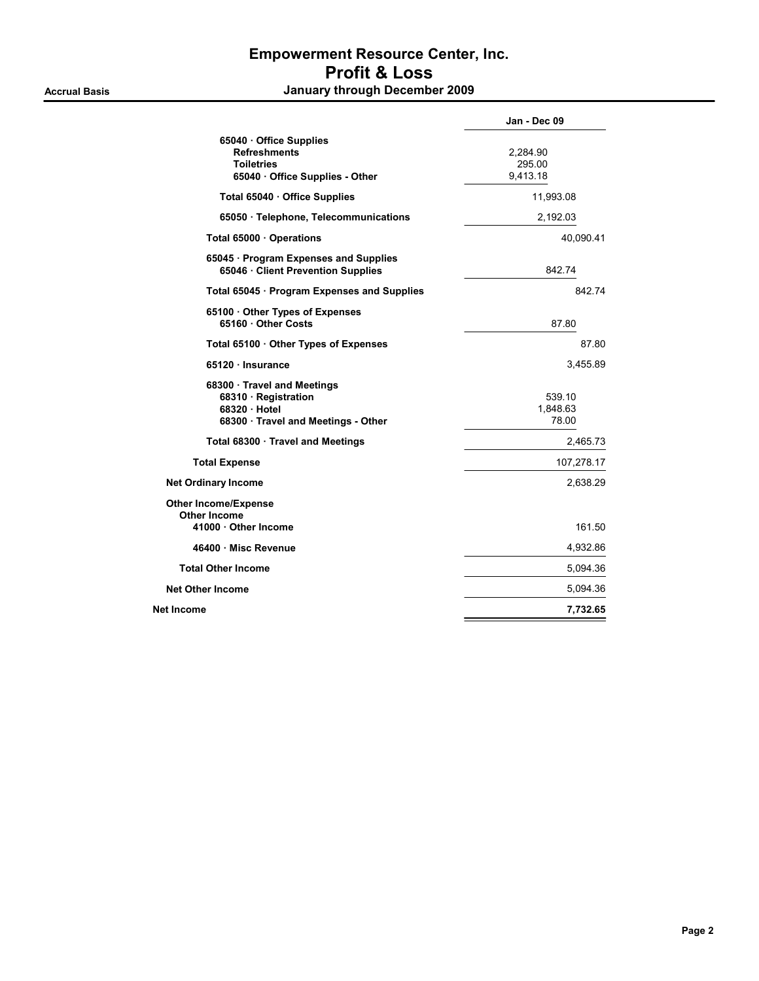## Empowerment Resource Center, Inc. Profit & Loss Accrual Basis **Accrual Basis January through December 2009**

|                                                                                                         | Jan - Dec 09                   |
|---------------------------------------------------------------------------------------------------------|--------------------------------|
| 65040 Office Supplies<br><b>Refreshments</b><br><b>Toiletries</b><br>65040 · Office Supplies - Other    | 2,284.90<br>295.00<br>9,413.18 |
| Total 65040 · Office Supplies                                                                           | 11,993.08                      |
| 65050 · Telephone, Telecommunications                                                                   | 2,192.03                       |
| Total 65000 Operations                                                                                  | 40,090.41                      |
| 65045 · Program Expenses and Supplies<br>65046 · Client Prevention Supplies                             | 842.74                         |
| Total 65045 · Program Expenses and Supplies                                                             | 842.74                         |
| 65100 Other Types of Expenses<br>65160 Other Costs                                                      | 87.80                          |
| Total 65100 Other Types of Expenses                                                                     | 87.80                          |
| 65120 · Insurance                                                                                       | 3,455.89                       |
| 68300 · Travel and Meetings<br>68310 Registration<br>68320 Hotel<br>68300 · Travel and Meetings - Other | 539.10<br>1,848.63<br>78.00    |
| Total 68300 · Travel and Meetings                                                                       | 2,465.73                       |
| <b>Total Expense</b>                                                                                    | 107,278.17                     |
| <b>Net Ordinary Income</b>                                                                              | 2,638.29                       |
| <b>Other Income/Expense</b><br>Other Income<br>41000 Other Income                                       | 161.50                         |
| 46400 · Misc Revenue                                                                                    | 4,932.86                       |
| <b>Total Other Income</b>                                                                               | 5,094.36                       |
| <b>Net Other Income</b>                                                                                 | 5,094.36                       |
| Net Income                                                                                              | 7,732.65                       |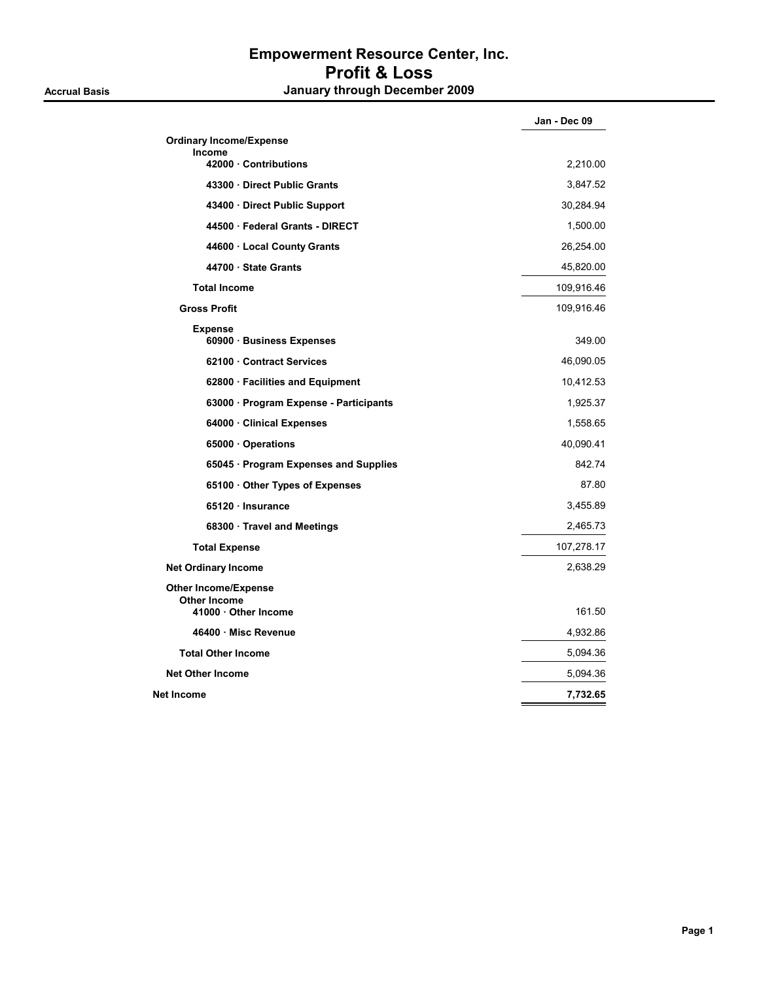## Empowerment Resource Center, Inc. Profit & Loss Accrual Basis **Accrual Basis January through December 2009**

|                                                                          | Jan - Dec 09 |
|--------------------------------------------------------------------------|--------------|
| <b>Ordinary Income/Expense</b>                                           |              |
| <b>Income</b><br>42000 Contributions                                     | 2,210.00     |
| 43300 Direct Public Grants                                               | 3,847.52     |
| 43400 Direct Public Support                                              | 30,284.94    |
| 44500 Federal Grants - DIRECT                                            | 1,500.00     |
| 44600 · Local County Grants                                              | 26,254.00    |
| 44700 State Grants                                                       | 45,820.00    |
| <b>Total Income</b>                                                      | 109,916.46   |
| <b>Gross Profit</b>                                                      | 109,916.46   |
| <b>Expense</b><br>60900 · Business Expenses                              | 349.00       |
| 62100 Contract Services                                                  | 46,090.05    |
| 62800 · Facilities and Equipment                                         | 10,412.53    |
| 63000 · Program Expense - Participants                                   | 1,925.37     |
| 64000 · Clinical Expenses                                                | 1,558.65     |
| 65000 Operations                                                         | 40,090.41    |
| 65045 · Program Expenses and Supplies                                    | 842.74       |
| 65100 Other Types of Expenses                                            | 87.80        |
| 65120 Insurance                                                          | 3,455.89     |
| 68300 · Travel and Meetings                                              | 2,465.73     |
| <b>Total Expense</b>                                                     | 107,278.17   |
| <b>Net Ordinary Income</b>                                               | 2,638.29     |
| <b>Other Income/Expense</b><br><b>Other Income</b><br>41000 Other Income | 161.50       |
| 46400 Misc Revenue                                                       | 4,932.86     |
| <b>Total Other Income</b>                                                | 5,094.36     |
| <b>Net Other Income</b>                                                  | 5,094.36     |
| Net Income                                                               | 7,732.65     |
|                                                                          |              |